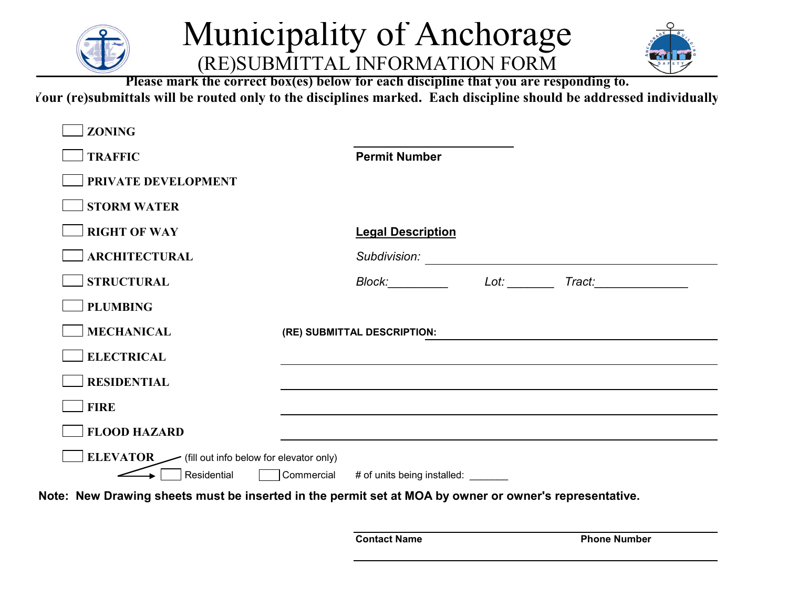

## Municipality of Anchorage (RE)SUBMITTAL INFORMATION FORM



**Please mark the correct box(es) below for each discipline that you are responding to.**

**Your (re)submittals will be routed only to the disciplines marked. Each discipline should be addressed individually**

| <b>TRAFFIC</b>                                                  | <b>Permit Number</b>                                                                                                                                                                                                                                 |
|-----------------------------------------------------------------|------------------------------------------------------------------------------------------------------------------------------------------------------------------------------------------------------------------------------------------------------|
| PRIVATE DEVELOPMENT                                             |                                                                                                                                                                                                                                                      |
| <b>STORM WATER</b>                                              |                                                                                                                                                                                                                                                      |
| <b>RIGHT OF WAY</b>                                             | <b>Legal Description</b>                                                                                                                                                                                                                             |
| <b>ARCHITECTURAL</b>                                            | Subdivision:<br><u> 1989 - Johann John Stein, markin sanadi shekara 1989 - Amerikan Stein Stein Stein Stein Stein Stein Stein Stein Stein Stein Stein Stein Stein Stein Stein Stein Stein Stein Stein Stein Stein Stein Stein Stein Stein Stein </u> |
| <b>STRUCTURAL</b>                                               | Block: Reserve the Block of the Second Second Second Second Second Second Second Second Second Second Second Second Second Second Second Second Second Second Second Second Second Second Second Second Second Second Second S<br>Lot: Tract: Tract: |
| <b>PLUMBING</b>                                                 |                                                                                                                                                                                                                                                      |
| <b>MECHANICAL</b>                                               | (RE) SUBMITTAL DESCRIPTION:                                                                                                                                                                                                                          |
| <b>ELECTRICAL</b>                                               |                                                                                                                                                                                                                                                      |
| <b>RESIDENTIAL</b>                                              |                                                                                                                                                                                                                                                      |
| <b>FIRE</b>                                                     |                                                                                                                                                                                                                                                      |
| <b>FLOOD HAZARD</b>                                             |                                                                                                                                                                                                                                                      |
| ELEVATOR (fill out info below for elevator only)<br>Residential | Commercial<br># of units being installed:                                                                                                                                                                                                            |

**Note: New Drawing sheets must be inserted in the permit set at MOA by owner or owner's representative.**